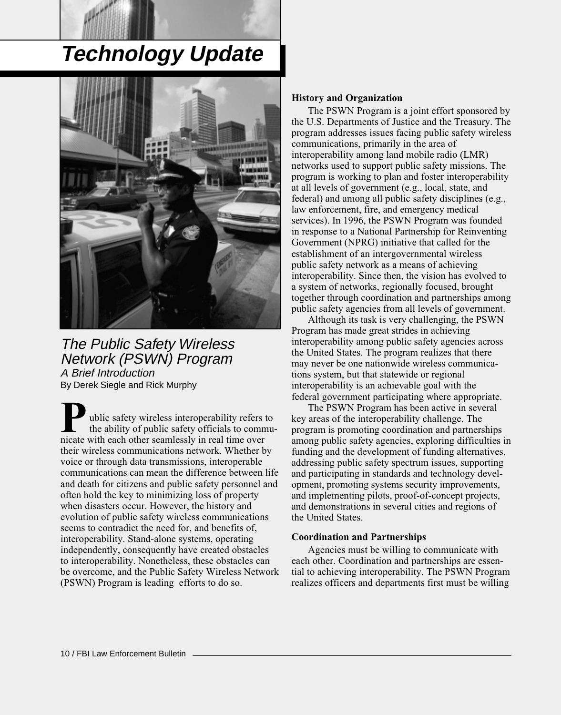# **Technology Update**



The Public Safety Wireless Network (PSWN) Program A Brief Introduction By Derek Siegle and Rick Murphy

nicate with each other seamlessly in real time over their wireless communications network. Whether by voice or through data transmissions, interoperable communications can mean the difference between life and death for citizens and public safety personnel and often hold the key to minimizing loss of property when disasters occur. However, the history and evolution of public safety wireless communications seems to contradict the need for, and benefits of, interoperability. Stand-alone systems, operating independently, consequently have created obstacles to interoperability. Nonetheless, these obstacles can be overcome, and the Public Safety Wireless Network (PSWN) Program is leading efforts to do so. **Public safety wireless interoperability refers to the ability of public safety officials to communicate with each other seamlessly in real time over** the ability of public safety officials to commu-

#### **History and Organization**

The PSWN Program is a joint effort sponsored by the U.S. Departments of Justice and the Treasury. The program addresses issues facing public safety wireless communications, primarily in the area of interoperability among land mobile radio (LMR) networks used to support public safety missions. The program is working to plan and foster interoperability at all levels of government (e.g., local, state, and federal) and among all public safety disciplines (e.g., law enforcement, fire, and emergency medical services). In 1996, the PSWN Program was founded in response to a National Partnership for Reinventing Government (NPRG) initiative that called for the establishment of an intergovernmental wireless public safety network as a means of achieving interoperability. Since then, the vision has evolved to a system of networks, regionally focused, brought together through coordination and partnerships among public safety agencies from all levels of government.

Although its task is very challenging, the PSWN Program has made great strides in achieving interoperability among public safety agencies across the United States. The program realizes that there may never be one nationwide wireless communications system, but that statewide or regional interoperability is an achievable goal with the federal government participating where appropriate.

The PSWN Program has been active in several key areas of the interoperability challenge. The program is promoting coordination and partnerships among public safety agencies, exploring difficulties in funding and the development of funding alternatives, addressing public safety spectrum issues, supporting and participating in standards and technology development, promoting systems security improvements, and implementing pilots, proof-of-concept projects, and demonstrations in several cities and regions of the United States.

#### **Coordination and Partnerships**

Agencies must be willing to communicate with each other. Coordination and partnerships are essential to achieving interoperability. The PSWN Program realizes officers and departments first must be willing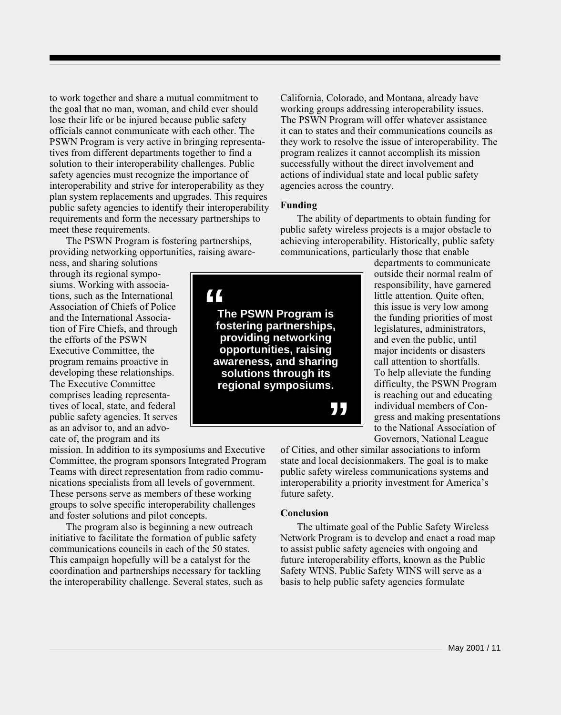to work together and share a mutual commitment to the goal that no man, woman, and child ever should lose their life or be injured because public safety officials cannot communicate with each other. The PSWN Program is very active in bringing representatives from different departments together to find a solution to their interoperability challenges. Public safety agencies must recognize the importance of interoperability and strive for interoperability as they plan system replacements and upgrades. This requires public safety agencies to identify their interoperability requirements and form the necessary partnerships to meet these requirements.

The PSWN Program is fostering partnerships, providing networking opportunities, raising aware-

ness, and sharing solutions through its regional symposiums. Working with associations, such as the International Association of Chiefs of Police and the International Association of Fire Chiefs, and through the efforts of the PSWN Executive Committee, the program remains proactive in developing these relationships. The Executive Committee comprises leading representatives of local, state, and federal public safety agencies. It serves as an advisor to, and an advocate of, the program and its

mission. In addition to its symposiums and Executive Committee, the program sponsors Integrated Program Teams with direct representation from radio communications specialists from all levels of government. These persons serve as members of these working groups to solve specific interoperability challenges and foster solutions and pilot concepts.

The program also is beginning a new outreach initiative to facilitate the formation of public safety communications councils in each of the 50 states. This campaign hopefully will be a catalyst for the coordination and partnerships necessary for tackling the interoperability challenge. Several states, such as California, Colorado, and Montana, already have working groups addressing interoperability issues. The PSWN Program will offer whatever assistance it can to states and their communications councils as they work to resolve the issue of interoperability. The program realizes it cannot accomplish its mission successfully without the direct involvement and actions of individual state and local public safety agencies across the country.

#### **Funding**

The ability of departments to obtain funding for public safety wireless projects is a major obstacle to achieving interoperability. Historically, public safety communications, particularly those that enable

**" " The PSWN Program is fostering partnerships, providing networking opportunities, raising awareness, and sharing solutions through its regional symposiums.**

departments to communicate outside their normal realm of responsibility, have garnered little attention. Quite often, this issue is very low among the funding priorities of most legislatures, administrators, and even the public, until major incidents or disasters call attention to shortfalls. To help alleviate the funding difficulty, the PSWN Program is reaching out and educating individual members of Congress and making presentations to the National Association of Governors, National League

of Cities, and other similar associations to inform state and local decisionmakers. The goal is to make public safety wireless communications systems and interoperability a priority investment for America's future safety.

#### **Conclusion**

The ultimate goal of the Public Safety Wireless Network Program is to develop and enact a road map to assist public safety agencies with ongoing and future interoperability efforts, known as the Public Safety WINS. Public Safety WINS will serve as a basis to help public safety agencies formulate